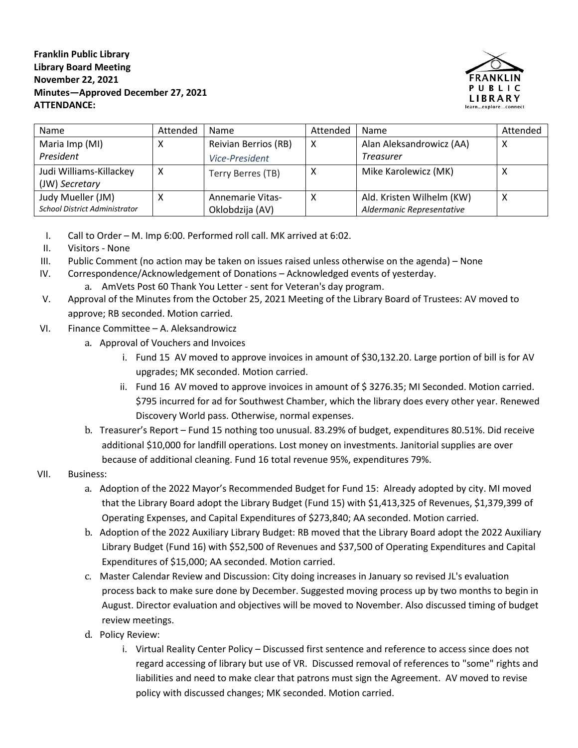**Franklin Public Library Library Board Meeting November 22, 2021 Minutes—Approved December 27, 2021 ATTENDANCE:**



| <b>Name</b>                          | Attended | <b>Name</b>             | Attended | Name                      | Attended |
|--------------------------------------|----------|-------------------------|----------|---------------------------|----------|
| Maria Imp (MI)                       | х        | Reivian Berrios (RB)    | X        | Alan Aleksandrowicz (AA)  | х        |
| President                            |          | Vice-President          |          | <b>Treasurer</b>          |          |
| Judi Williams-Killackey              | x        | Terry Berres (TB)       | х        | Mike Karolewicz (MK)      | х        |
| (JW) Secretary                       |          |                         |          |                           |          |
| Judy Mueller (JM)                    | х        | <b>Annemarie Vitas-</b> | х        | Ald. Kristen Wilhelm (KW) | х        |
| <b>School District Administrator</b> |          | Oklobdzija (AV)         |          | Aldermanic Representative |          |

- I. Call to Order M. Imp 6:00. Performed roll call. MK arrived at 6:02.
- II. Visitors None
- III. Public Comment (no action may be taken on issues raised unless otherwise on the agenda) None
- IV. Correspondence/Acknowledgement of Donations Acknowledged events of yesterday.
	- a. AmVets Post 60 Thank You Letter sent for Veteran's day program.
- V. Approval of the Minutes from the October 25, 2021 Meeting of the Library Board of Trustees: AV moved to approve; RB seconded. Motion carried.
- VI. Finance Committee A. Aleksandrowicz
	- a. Approval of Vouchers and Invoices
		- i. Fund 15 AV moved to approve invoices in amount of \$30,132.20. Large portion of bill is for AV upgrades; MK seconded. Motion carried.
		- ii. Fund 16 AV moved to approve invoices in amount of \$ 3276.35; MI Seconded. Motion carried. \$795 incurred for ad for Southwest Chamber, which the library does every other year. Renewed Discovery World pass. Otherwise, normal expenses.
	- b. Treasurer's Report Fund 15 nothing too unusual. 83.29% of budget, expenditures 80.51%. Did receive additional \$10,000 for landfill operations. Lost money on investments. Janitorial supplies are over because of additional cleaning. Fund 16 total revenue 95%, expenditures 79%.

## VII. Business:

- a. Adoption of the 2022 Mayor's Recommended Budget for Fund 15: Already adopted by city. MI moved that the Library Board adopt the Library Budget (Fund 15) with \$1,413,325 of Revenues, \$1,379,399 of Operating Expenses, and Capital Expenditures of \$273,840; AA seconded. Motion carried.
- b. Adoption of the 2022 Auxiliary Library Budget: RB moved that the Library Board adopt the 2022 Auxiliary Library Budget (Fund 16) with \$52,500 of Revenues and \$37,500 of Operating Expenditures and Capital Expenditures of \$15,000; AA seconded. Motion carried.
- c. Master Calendar Review and Discussion: City doing increases in January so revised JL's evaluation process back to make sure done by December. Suggested moving process up by two months to begin in August. Director evaluation and objectives will be moved to November. Also discussed timing of budget review meetings.
- d. Policy Review:
	- i. Virtual Reality Center Policy Discussed first sentence and reference to access since does not regard accessing of library but use of VR. Discussed removal of references to "some" rights and liabilities and need to make clear that patrons must sign the Agreement. AV moved to revise policy with discussed changes; MK seconded. Motion carried.